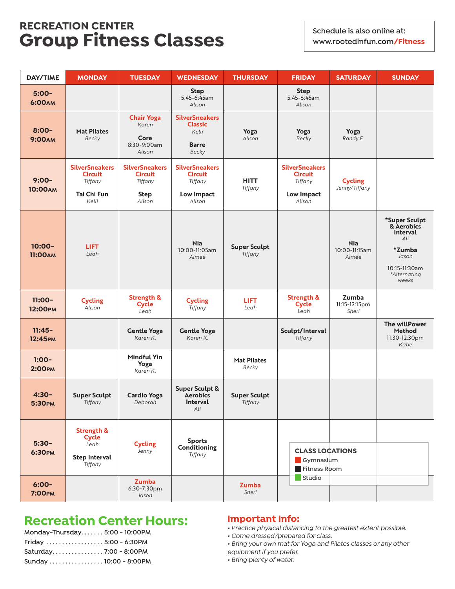## **RECREATION CENTER Group Fitness Classes Schedule is also online at:**

**www.rootedinfun.com/Fitness**

| DAY/TIME                    | <b>MONDAY</b>                                                                    | <b>TUESDAY</b>                                                              | <b>WEDNESDAY</b>                                                                  | <b>THURSDAY</b>                | <b>FRIDAY</b>                                                                     | <b>SATURDAY</b>                      | <b>SUNDAY</b>                                                                                               |
|-----------------------------|----------------------------------------------------------------------------------|-----------------------------------------------------------------------------|-----------------------------------------------------------------------------------|--------------------------------|-----------------------------------------------------------------------------------|--------------------------------------|-------------------------------------------------------------------------------------------------------------|
| $5:00 -$<br><b>6:00AM</b>   |                                                                                  |                                                                             | <b>Step</b><br>5:45-6:45am<br>Alison                                              |                                | <b>Step</b><br>5:45-6:45am<br>Alison                                              |                                      |                                                                                                             |
| $8:00 -$<br><b>9:00AM</b>   | <b>Mat Pilates</b><br>Becky                                                      | <b>Chair Yoga</b><br>Karen<br>Core<br>8:30-9:00am<br>Alison                 | <b>SilverSneakers</b><br><b>Classic</b><br>Kelli<br><b>Barre</b><br>Becky         | Yoga<br>Alison                 | Yoga<br>Becky                                                                     | Yoga<br>Randy E.                     |                                                                                                             |
| $9:00 -$<br><b>10:00AM</b>  | <b>SilverSneakers</b><br><b>Circuit</b><br>Tiffany<br>Tai Chi Fun<br>Kelli       | <b>SilverSneakers</b><br><b>Circuit</b><br>Tiffany<br><b>Step</b><br>Alison | <b>SilverSneakers</b><br><b>Circuit</b><br>Tiffany<br><b>Low Impact</b><br>Alison | <b>HITT</b><br>Tiffany         | <b>SilverSneakers</b><br><b>Circuit</b><br>Tiffany<br><b>Low Impact</b><br>Alison | <b>Cycling</b><br>Jenny/Tiffany      |                                                                                                             |
| 10:00-<br><b>11:00AM</b>    | LIFT.<br>Leah                                                                    |                                                                             | <b>Nia</b><br>10:00-11:05am<br>Aimee                                              | <b>Super Sculpt</b><br>Tiffany |                                                                                   | <b>Nia</b><br>10:00-11:15am<br>Aimee | *Super Sculpt<br>& Aerobics<br>Interval<br>Ali<br>*Zumba<br>Jason<br>10:15-11:30am<br>*Alternating<br>weeks |
| $11:00 -$<br><b>12:00PM</b> | <b>Cycling</b><br>Alison                                                         | <b>Strength &amp;</b><br><b>Cycle</b><br>Leah                               | <b>Cycling</b><br>Tiffany                                                         | LIFT<br>Leah                   | <b>Strength &amp;</b><br><b>Cycle</b><br>Leah                                     | Zumba<br>11:15-12:15pm<br>Sheri      |                                                                                                             |
| $11:45-$<br>12:45PM         |                                                                                  | <b>Gentle Yoga</b><br>Karen K.                                              | <b>Gentle Yoga</b><br>Karen K.                                                    |                                | Sculpt/Interval<br>Tiffany                                                        |                                      | The willPower<br>Method<br>11:30-12:30pm<br>Katie                                                           |
| $1:00-$<br>2:00PM           |                                                                                  | <b>Mindful Yin</b><br>Yoga<br>Karen K.                                      |                                                                                   | <b>Mat Pilates</b><br>Becky    |                                                                                   |                                      |                                                                                                             |
| $4:30-$<br>5:30PM           | <b>Super Sculpt</b><br>Tiffany                                                   | <b>Cardio Yoga</b><br>Deborah                                               | <b>Super Sculpt &amp;</b><br><b>Aerobics</b><br><b>Interval</b><br>Ali            | <b>Super Sculpt</b><br>Tiffany |                                                                                   |                                      |                                                                                                             |
| $5:30-$<br>6:30PM           | <b>Strength &amp;</b><br><b>Cycle</b><br>Leah<br><b>Step Interval</b><br>Tiffany | <b>Cycling</b><br>Jenny                                                     | <b>Sports</b><br>Conditioning<br>Tiffany                                          |                                | <b>CLASS LOCATIONS</b><br>Gymnasium<br><b>Fitness Room</b>                        |                                      |                                                                                                             |
| $6:00 -$<br><b>7:00PM</b>   |                                                                                  | <b>Zumba</b><br>6:30-7:30pm<br>Jason                                        |                                                                                   | <b>Zumba</b><br>Sheri          | Studio                                                                            |                                      |                                                                                                             |

## **Recreation Center Hours:**

| Monday-Thursday $\dots$ 5:00 - 10:00PM |  |
|----------------------------------------|--|
| Friday  5:00 - 6:30PM                  |  |
| Saturday 7:00 - 8:00PM                 |  |
| Sunday  10:00 - 8:00PM                 |  |

### **Important Info:**

- *Practice physical distancing to the greatest extent possible.*
- *Come dressed/prepared for class.*
- *Bring your own mat for Yoga and Pilates classes or any other*
- *equipment if you prefer.*
- *Bring plenty of water.*